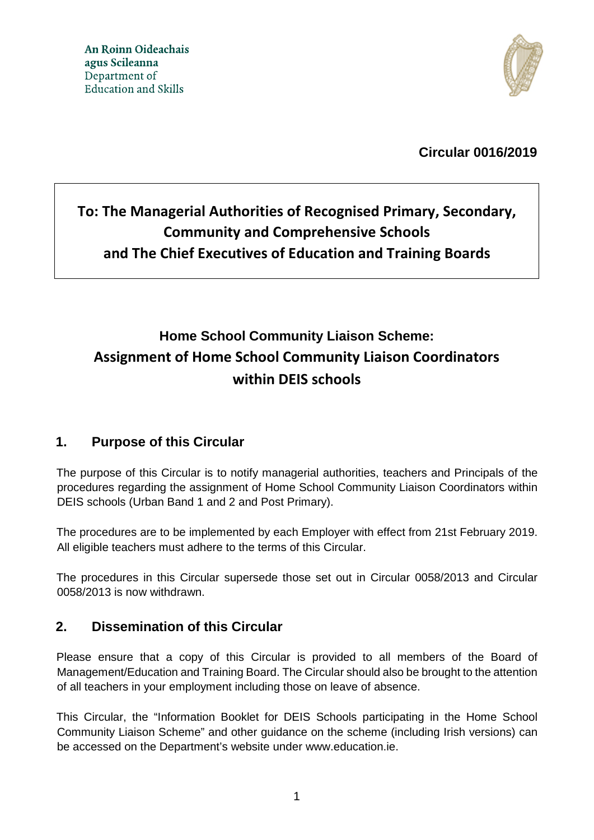

**Circular 0016/2019** 

# **To: The Managerial Authorities of Recognised Primary, Secondary, Community and Comprehensive Schools and The Chief Executives of Education and Training Boards**

# **Home School Community Liaison Scheme: Assignment of Home School Community Liaison Coordinators within DEIS schools**

# **1. Purpose of this Circular**

The purpose of this Circular is to notify managerial authorities, teachers and Principals of the procedures regarding the assignment of Home School Community Liaison Coordinators within DEIS schools (Urban Band 1 and 2 and Post Primary).

The procedures are to be implemented by each Employer with effect from 21st February 2019. All eligible teachers must adhere to the terms of this Circular.

The procedures in this Circular supersede those set out in Circular 0058/2013 and Circular 0058/2013 is now withdrawn.

# **2. Dissemination of this Circular**

Please ensure that a copy of this Circular is provided to all members of the Board of Management/Education and Training Board. The Circular should also be brought to the attention of all teachers in your employment including those on leave of absence.

This Circular, the "Information Booklet for DEIS Schools participating in the Home School Community Liaison Scheme" and other guidance on the scheme (including Irish versions) can be accessed on the Department's website under www.education.ie.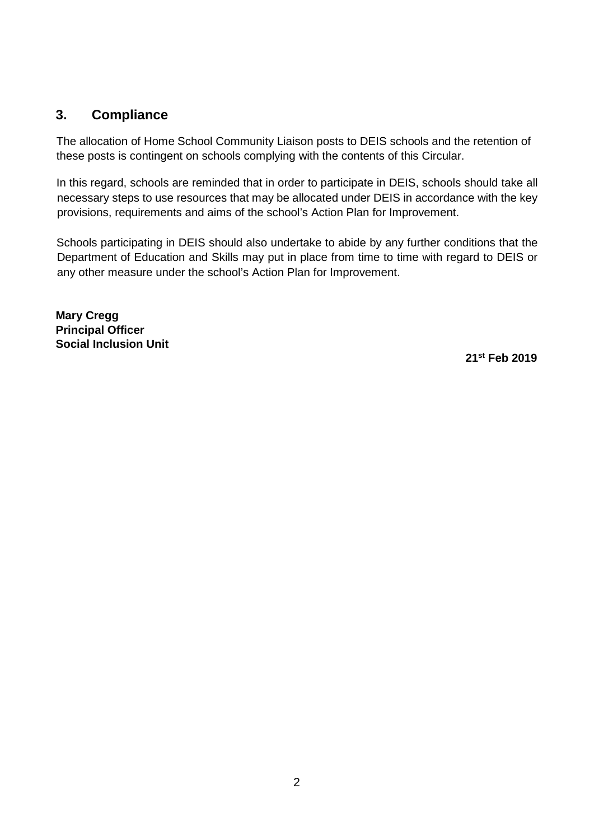### **3. Compliance**

The allocation of Home School Community Liaison posts to DEIS schools and the retention of these posts is contingent on schools complying with the contents of this Circular.

In this regard, schools are reminded that in order to participate in DEIS, schools should take all necessary steps to use resources that may be allocated under DEIS in accordance with the key provisions, requirements and aims of the school's Action Plan for Improvement.

Schools participating in DEIS should also undertake to abide by any further conditions that the Department of Education and Skills may put in place from time to time with regard to DEIS or any other measure under the school's Action Plan for Improvement.

**Mary Cregg Principal Officer Social Inclusion Unit** 

 **21st Feb 2019**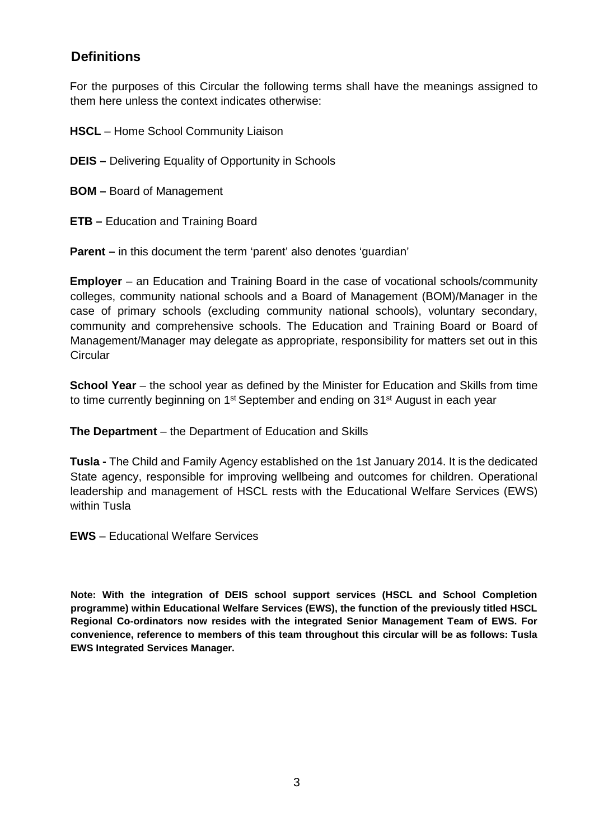# **Definitions**

For the purposes of this Circular the following terms shall have the meanings assigned to them here unless the context indicates otherwise:

**HSCL** – Home School Community Liaison

**DEIS –** Delivering Equality of Opportunity in Schools

**BOM –** Board of Management

**ETB –** Education and Training Board

**Parent –** in this document the term 'parent' also denotes 'quardian'

**Employer** – an Education and Training Board in the case of vocational schools/community colleges, community national schools and a Board of Management (BOM)/Manager in the case of primary schools (excluding community national schools), voluntary secondary, community and comprehensive schools. The Education and Training Board or Board of Management/Manager may delegate as appropriate, responsibility for matters set out in this **Circular** 

**School Year** – the school year as defined by the Minister for Education and Skills from time to time currently beginning on 1<sup>st</sup> September and ending on 31<sup>st</sup> August in each year

**The Department** – the Department of Education and Skills

**Tusla -** The Child and Family Agency established on the 1st January 2014. It is the dedicated State agency, responsible for improving wellbeing and outcomes for children. Operational leadership and management of HSCL rests with the Educational Welfare Services (EWS) within Tusla

**EWS** – Educational Welfare Services

**Note: With the integration of DEIS school support services (HSCL and School Completion programme) within Educational Welfare Services (EWS), the function of the previously titled HSCL Regional Co-ordinators now resides with the integrated Senior Management Team of EWS. For convenience, reference to members of this team throughout this circular will be as follows: Tusla EWS Integrated Services Manager.**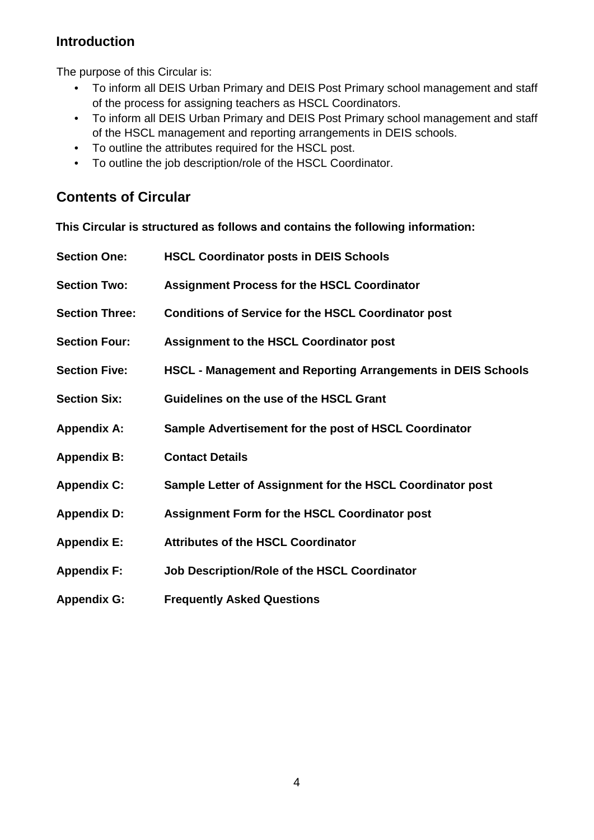# **Introduction**

The purpose of this Circular is:

- To inform all DEIS Urban Primary and DEIS Post Primary school management and staff of the process for assigning teachers as HSCL Coordinators.
- To inform all DEIS Urban Primary and DEIS Post Primary school management and staff of the HSCL management and reporting arrangements in DEIS schools.
- To outline the attributes required for the HSCL post.
- To outline the job description/role of the HSCL Coordinator.

# **Contents of Circular**

**This Circular is structured as follows and contains the following information:** 

| <b>Section One:</b>   | <b>HSCL Coordinator posts in DEIS Schools</b>                       |
|-----------------------|---------------------------------------------------------------------|
| <b>Section Two:</b>   | <b>Assignment Process for the HSCL Coordinator</b>                  |
| <b>Section Three:</b> | <b>Conditions of Service for the HSCL Coordinator post</b>          |
| <b>Section Four:</b>  | <b>Assignment to the HSCL Coordinator post</b>                      |
| <b>Section Five:</b>  | <b>HSCL - Management and Reporting Arrangements in DEIS Schools</b> |
| <b>Section Six:</b>   | Guidelines on the use of the HSCL Grant                             |
| <b>Appendix A:</b>    | Sample Advertisement for the post of HSCL Coordinator               |
| <b>Appendix B:</b>    | <b>Contact Details</b>                                              |
| <b>Appendix C:</b>    | Sample Letter of Assignment for the HSCL Coordinator post           |
| <b>Appendix D:</b>    | <b>Assignment Form for the HSCL Coordinator post</b>                |
| <b>Appendix E:</b>    | <b>Attributes of the HSCL Coordinator</b>                           |
| <b>Appendix F:</b>    | Job Description/Role of the HSCL Coordinator                        |
| <b>Appendix G:</b>    | <b>Frequently Asked Questions</b>                                   |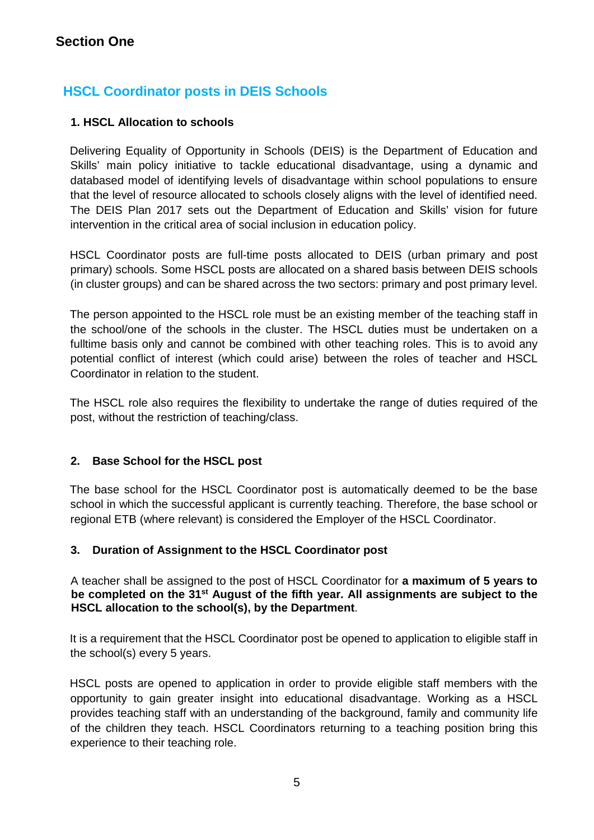# **HSCL Coordinator posts in DEIS Schools**

### **1. HSCL Allocation to schools**

Delivering Equality of Opportunity in Schools (DEIS) is the Department of Education and Skills' main policy initiative to tackle educational disadvantage, using a dynamic and databased model of identifying levels of disadvantage within school populations to ensure that the level of resource allocated to schools closely aligns with the level of identified need. The DEIS Plan 2017 sets out the Department of Education and Skills' vision for future intervention in the critical area of social inclusion in education policy.

HSCL Coordinator posts are full-time posts allocated to DEIS (urban primary and post primary) schools. Some HSCL posts are allocated on a shared basis between DEIS schools (in cluster groups) and can be shared across the two sectors: primary and post primary level.

The person appointed to the HSCL role must be an existing member of the teaching staff in the school/one of the schools in the cluster. The HSCL duties must be undertaken on a fulltime basis only and cannot be combined with other teaching roles. This is to avoid any potential conflict of interest (which could arise) between the roles of teacher and HSCL Coordinator in relation to the student.

The HSCL role also requires the flexibility to undertake the range of duties required of the post, without the restriction of teaching/class.

### **2. Base School for the HSCL post**

The base school for the HSCL Coordinator post is automatically deemed to be the base school in which the successful applicant is currently teaching. Therefore, the base school or regional ETB (where relevant) is considered the Employer of the HSCL Coordinator.

### **3. Duration of Assignment to the HSCL Coordinator post**

A teacher shall be assigned to the post of HSCL Coordinator for **a maximum of 5 years to be completed on the 31st August of the fifth year. All assignments are subject to the HSCL allocation to the school(s), by the Department**.

It is a requirement that the HSCL Coordinator post be opened to application to eligible staff in the school(s) every 5 years.

HSCL posts are opened to application in order to provide eligible staff members with the opportunity to gain greater insight into educational disadvantage. Working as a HSCL provides teaching staff with an understanding of the background, family and community life of the children they teach. HSCL Coordinators returning to a teaching position bring this experience to their teaching role.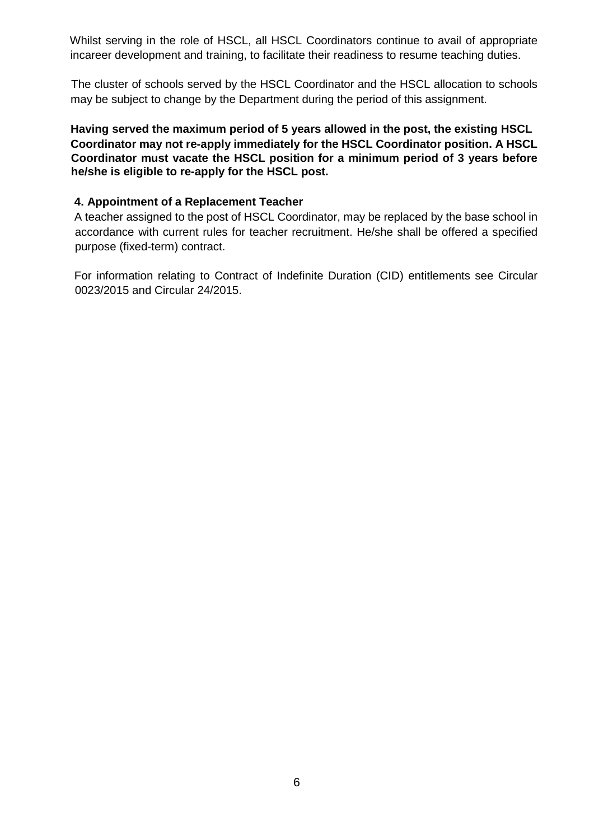Whilst serving in the role of HSCL, all HSCL Coordinators continue to avail of appropriate incareer development and training, to facilitate their readiness to resume teaching duties.

 The cluster of schools served by the HSCL Coordinator and the HSCL allocation to schools may be subject to change by the Department during the period of this assignment.

**Having served the maximum period of 5 years allowed in the post, the existing HSCL Coordinator may not re-apply immediately for the HSCL Coordinator position. A HSCL Coordinator must vacate the HSCL position for a minimum period of 3 years before he/she is eligible to re-apply for the HSCL post.** 

#### **4. Appointment of a Replacement Teacher**

A teacher assigned to the post of HSCL Coordinator, may be replaced by the base school in accordance with current rules for teacher recruitment. He/she shall be offered a specified purpose (fixed-term) contract.

For information relating to Contract of Indefinite Duration (CID) entitlements see Circular 0023/2015 and Circular 24/2015.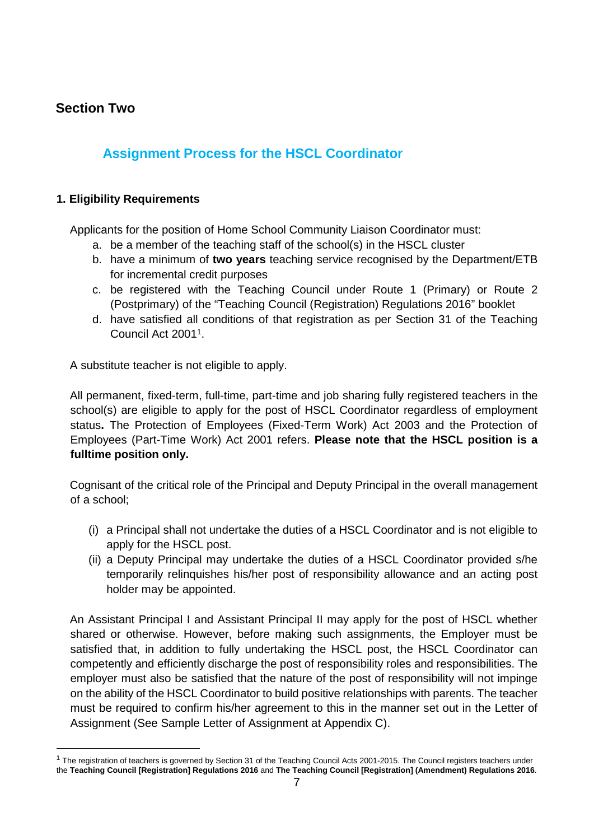### **Section Two**

-

# **Assignment Process for the HSCL Coordinator**

#### **1. Eligibility Requirements**

Applicants for the position of Home School Community Liaison Coordinator must:

- a. be a member of the teaching staff of the school(s) in the HSCL cluster
- b. have a minimum of **two years** teaching service recognised by the Department/ETB for incremental credit purposes
- c. be registered with the Teaching Council under Route 1 (Primary) or Route 2 (Postprimary) of the "Teaching Council (Registration) Regulations 2016" booklet
- d. have satisfied all conditions of that registration as per Section 31 of the Teaching Council Act 2001<sup>1</sup> .

A substitute teacher is not eligible to apply.

All permanent, fixed-term, full-time, part-time and job sharing fully registered teachers in the school(s) are eligible to apply for the post of HSCL Coordinator regardless of employment status**.** The Protection of Employees (Fixed-Term Work) Act 2003 and the Protection of Employees (Part-Time Work) Act 2001 refers. **Please note that the HSCL position is a fulltime position only.** 

Cognisant of the critical role of the Principal and Deputy Principal in the overall management of a school;

- (i) a Principal shall not undertake the duties of a HSCL Coordinator and is not eligible to apply for the HSCL post.
- (ii) a Deputy Principal may undertake the duties of a HSCL Coordinator provided s/he temporarily relinquishes his/her post of responsibility allowance and an acting post holder may be appointed.

An Assistant Principal I and Assistant Principal II may apply for the post of HSCL whether shared or otherwise. However, before making such assignments, the Employer must be satisfied that, in addition to fully undertaking the HSCL post, the HSCL Coordinator can competently and efficiently discharge the post of responsibility roles and responsibilities. The employer must also be satisfied that the nature of the post of responsibility will not impinge on the ability of the HSCL Coordinator to build positive relationships with parents. The teacher must be required to confirm his/her agreement to this in the manner set out in the Letter of Assignment (See Sample Letter of Assignment at Appendix C).

<sup>&</sup>lt;sup>1</sup> The registration of teachers is governed by Section 31 of the Teaching Council Acts 2001-2015. The Council registers teachers under the **Teaching Council [Registration] Regulations 2016** and **The Teaching Council [Registration] (Amendment) Regulations 2016**.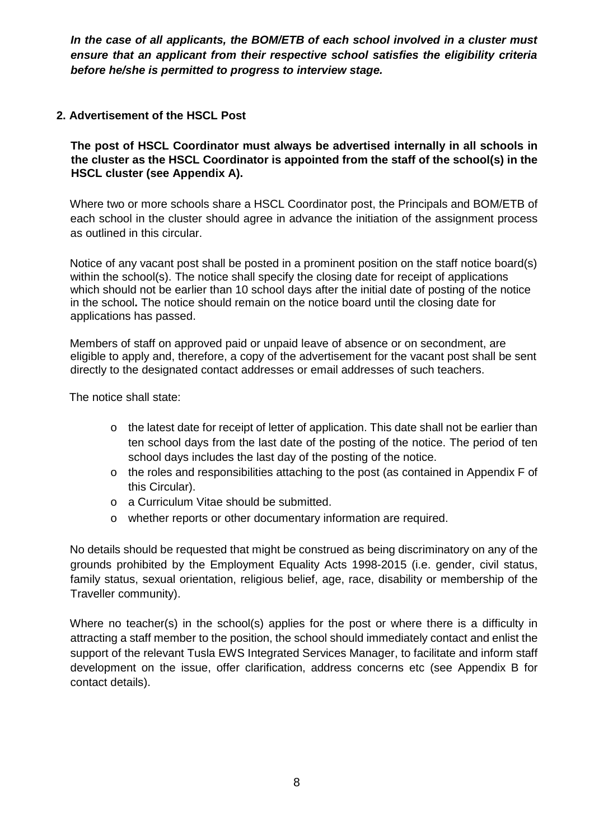*In the case of all applicants, the BOM/ETB of each school involved in a cluster must ensure that an applicant from their respective school satisfies the eligibility criteria before he/she is permitted to progress to interview stage.* 

### **2. Advertisement of the HSCL Post**

**The post of HSCL Coordinator must always be advertised internally in all schools in the cluster as the HSCL Coordinator is appointed from the staff of the school(s) in the HSCL cluster (see Appendix A).** 

Where two or more schools share a HSCL Coordinator post, the Principals and BOM/ETB of each school in the cluster should agree in advance the initiation of the assignment process as outlined in this circular.

Notice of any vacant post shall be posted in a prominent position on the staff notice board(s) within the school(s). The notice shall specify the closing date for receipt of applications which should not be earlier than 10 school days after the initial date of posting of the notice in the school**.** The notice should remain on the notice board until the closing date for applications has passed.

Members of staff on approved paid or unpaid leave of absence or on secondment, are eligible to apply and, therefore, a copy of the advertisement for the vacant post shall be sent directly to the designated contact addresses or email addresses of such teachers.

The notice shall state:

- o the latest date for receipt of letter of application. This date shall not be earlier than ten school days from the last date of the posting of the notice. The period of ten school days includes the last day of the posting of the notice.
- o the roles and responsibilities attaching to the post (as contained in Appendix F of this Circular).
- o a Curriculum Vitae should be submitted.
- o whether reports or other documentary information are required.

No details should be requested that might be construed as being discriminatory on any of the grounds prohibited by the Employment Equality Acts 1998-2015 (i.e. gender, civil status, family status, sexual orientation, religious belief, age, race, disability or membership of the Traveller community).

Where no teacher(s) in the school(s) applies for the post or where there is a difficulty in attracting a staff member to the position, the school should immediately contact and enlist the support of the relevant Tusla EWS Integrated Services Manager, to facilitate and inform staff development on the issue, offer clarification, address concerns etc (see Appendix B for contact details).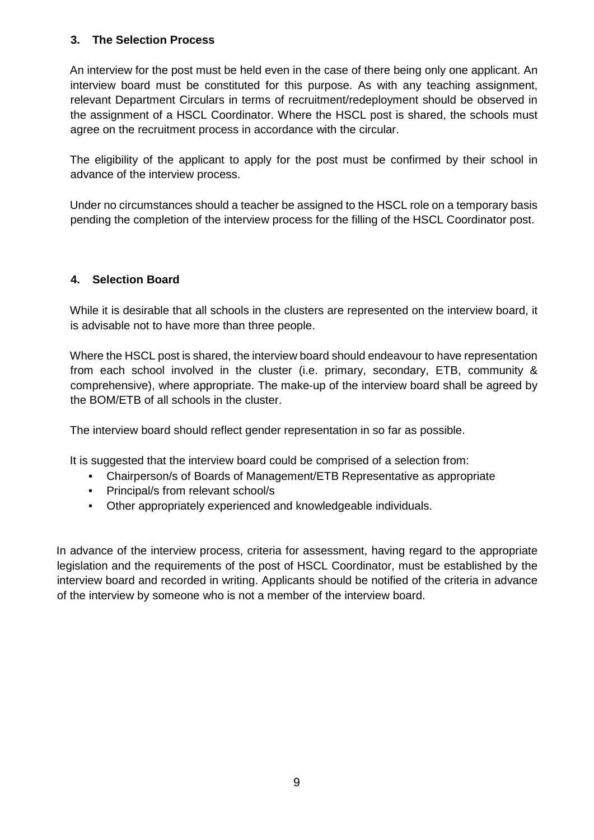#### **3. The Selection Process**

An interview for the post must be held even in the case of there being only one applicant. An interview board must be constituted for this purpose. As with any teaching assignment, relevant Department Circulars in terms of recruitment/redeployment should be observed in the assignment of a HSCL Coordinator. Where the HSCL post is shared, the schools must agree on the recruitment process in accordance with the circular.

The eligibility of the applicant to apply for the post must be confirmed by their school in advance of the interview process.

Under no circumstances should a teacher be assigned to the HSCL role on a temporary basis pending the completion of the interview process for the filling of the HSCL Coordinator post.

### **4. Selection Board**

While it is desirable that all schools in the clusters are represented on the interview board, it is advisable not to have more than three people.

Where the HSCL post is shared, the interview board should endeavour to have representation from each school involved in the cluster (i.e. primary, secondary, ETB, community & comprehensive), where appropriate. The make-up of the interview board shall be agreed by the BOM/ETB of all schools in the cluster.

The interview board should reflect gender representation in so far as possible.

It is suggested that the interview board could be comprised of a selection from:

- Chairperson/s of Boards of Management/ETB Representative as appropriate
- Principal/s from relevant school/s
- Other appropriately experienced and knowledgeable individuals.

In advance of the interview process, criteria for assessment, having regard to the appropriate legislation and the requirements of the post of HSCL Coordinator, must be established by the interview board and recorded in writing. Applicants should be notified of the criteria in advance of the interview by someone who is not a member of the interview board.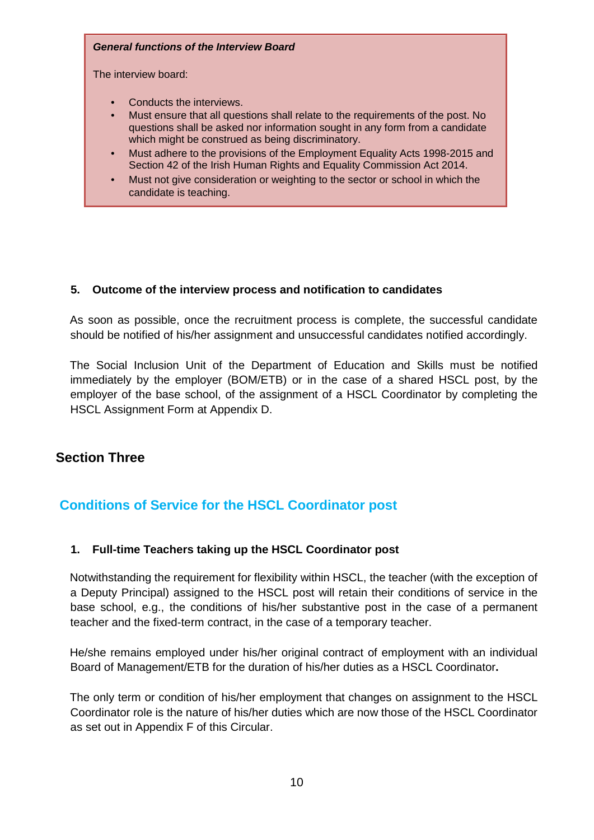#### *General functions of the Interview Board*

The interview board:

- Conducts the interviews.
- Must ensure that all questions shall relate to the requirements of the post. No questions shall be asked nor information sought in any form from a candidate which might be construed as being discriminatory.
- Must adhere to the provisions of the Employment Equality Acts 1998-2015 and Section 42 of the Irish Human Rights and Equality Commission Act 2014.
- Must not give consideration or weighting to the sector or school in which the candidate is teaching.

### **5. Outcome of the interview process and notification to candidates**

As soon as possible, once the recruitment process is complete, the successful candidate should be notified of his/her assignment and unsuccessful candidates notified accordingly.

The Social Inclusion Unit of the Department of Education and Skills must be notified immediately by the employer (BOM/ETB) or in the case of a shared HSCL post, by the employer of the base school, of the assignment of a HSCL Coordinator by completing the HSCL Assignment Form at Appendix D.

### **Section Three**

# **Conditions of Service for the HSCL Coordinator post**

#### **1. Full-time Teachers taking up the HSCL Coordinator post**

Notwithstanding the requirement for flexibility within HSCL, the teacher (with the exception of a Deputy Principal) assigned to the HSCL post will retain their conditions of service in the base school, e.g., the conditions of his/her substantive post in the case of a permanent teacher and the fixed-term contract, in the case of a temporary teacher.

He/she remains employed under his/her original contract of employment with an individual Board of Management/ETB for the duration of his/her duties as a HSCL Coordinator**.** 

The only term or condition of his/her employment that changes on assignment to the HSCL Coordinator role is the nature of his/her duties which are now those of the HSCL Coordinator as set out in Appendix F of this Circular.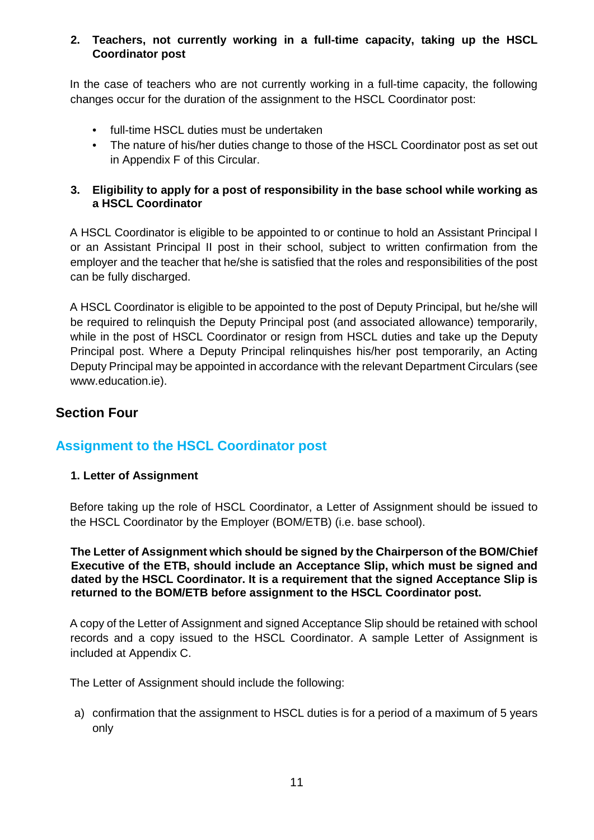#### **2. Teachers, not currently working in a full-time capacity, taking up the HSCL Coordinator post**

In the case of teachers who are not currently working in a full-time capacity, the following changes occur for the duration of the assignment to the HSCL Coordinator post:

- full-time HSCL duties must be undertaken
- The nature of his/her duties change to those of the HSCL Coordinator post as set out in Appendix F of this Circular.

### **3. Eligibility to apply for a post of responsibility in the base school while working as a HSCL Coordinator**

A HSCL Coordinator is eligible to be appointed to or continue to hold an Assistant Principal I or an Assistant Principal II post in their school, subject to written confirmation from the employer and the teacher that he/she is satisfied that the roles and responsibilities of the post can be fully discharged.

A HSCL Coordinator is eligible to be appointed to the post of Deputy Principal, but he/she will be required to relinquish the Deputy Principal post (and associated allowance) temporarily, while in the post of HSCL Coordinator or resign from HSCL duties and take up the Deputy Principal post. Where a Deputy Principal relinquishes his/her post temporarily, an Acting Deputy Principal may be appointed in accordance with the relevant Department Circulars (see www.education.ie).

### **Section Four**

# **Assignment to the HSCL Coordinator post**

### **1. Letter of Assignment**

Before taking up the role of HSCL Coordinator, a Letter of Assignment should be issued to the HSCL Coordinator by the Employer (BOM/ETB) (i.e. base school).

#### **The Letter of Assignment which should be signed by the Chairperson of the BOM/Chief Executive of the ETB, should include an Acceptance Slip, which must be signed and dated by the HSCL Coordinator. It is a requirement that the signed Acceptance Slip is returned to the BOM/ETB before assignment to the HSCL Coordinator post.**

A copy of the Letter of Assignment and signed Acceptance Slip should be retained with school records and a copy issued to the HSCL Coordinator. A sample Letter of Assignment is included at Appendix C.

The Letter of Assignment should include the following:

a) confirmation that the assignment to HSCL duties is for a period of a maximum of 5 years only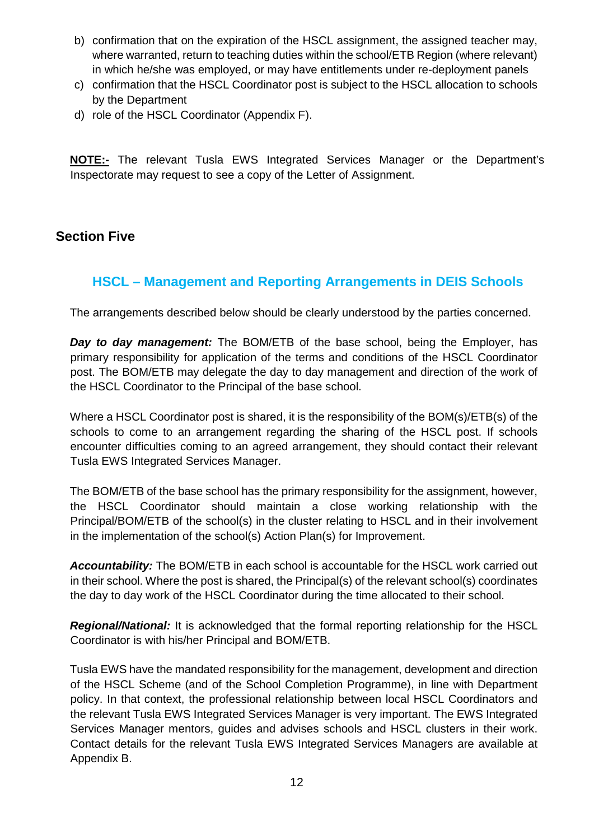- b) confirmation that on the expiration of the HSCL assignment, the assigned teacher may, where warranted, return to teaching duties within the school/ETB Region (where relevant) in which he/she was employed, or may have entitlements under re-deployment panels
- c) confirmation that the HSCL Coordinator post is subject to the HSCL allocation to schools by the Department
- d) role of the HSCL Coordinator (Appendix F).

**NOTE:-** The relevant Tusla EWS Integrated Services Manager or the Department's Inspectorate may request to see a copy of the Letter of Assignment.

### **Section Five**

# **HSCL – Management and Reporting Arrangements in DEIS Schools**

The arrangements described below should be clearly understood by the parties concerned.

*Day to day management:* The BOM/ETB of the base school, being the Employer, has primary responsibility for application of the terms and conditions of the HSCL Coordinator post. The BOM/ETB may delegate the day to day management and direction of the work of the HSCL Coordinator to the Principal of the base school.

Where a HSCL Coordinator post is shared, it is the responsibility of the BOM(s)/ETB(s) of the schools to come to an arrangement regarding the sharing of the HSCL post. If schools encounter difficulties coming to an agreed arrangement, they should contact their relevant Tusla EWS Integrated Services Manager.

The BOM/ETB of the base school has the primary responsibility for the assignment, however, the HSCL Coordinator should maintain a close working relationship with the Principal/BOM/ETB of the school(s) in the cluster relating to HSCL and in their involvement in the implementation of the school(s) Action Plan(s) for Improvement.

*Accountability:* The BOM/ETB in each school is accountable for the HSCL work carried out in their school. Where the post is shared, the Principal(s) of the relevant school(s) coordinates the day to day work of the HSCL Coordinator during the time allocated to their school.

*Regional/National:* It is acknowledged that the formal reporting relationship for the HSCL Coordinator is with his/her Principal and BOM/ETB.

Tusla EWS have the mandated responsibility for the management, development and direction of the HSCL Scheme (and of the School Completion Programme), in line with Department policy. In that context, the professional relationship between local HSCL Coordinators and the relevant Tusla EWS Integrated Services Manager is very important. The EWS Integrated Services Manager mentors, guides and advises schools and HSCL clusters in their work. Contact details for the relevant Tusla EWS Integrated Services Managers are available at Appendix B.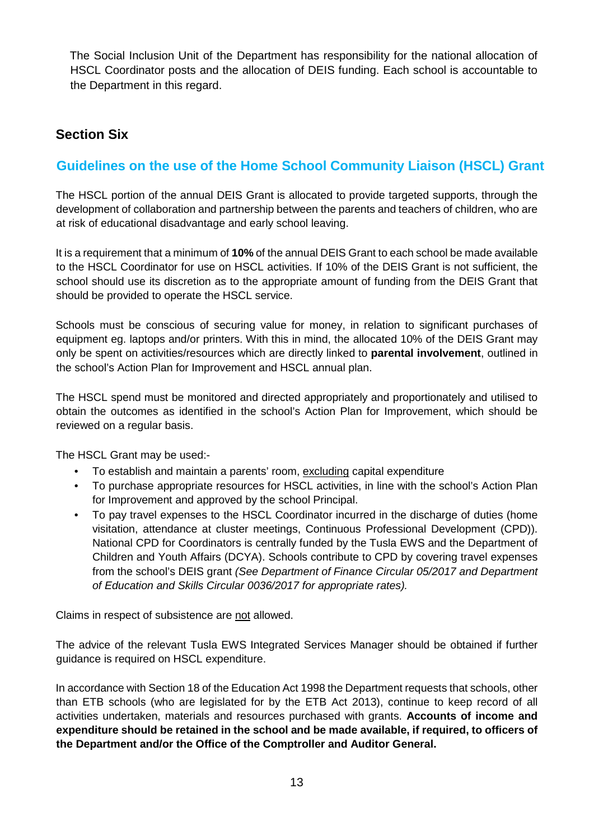The Social Inclusion Unit of the Department has responsibility for the national allocation of HSCL Coordinator posts and the allocation of DEIS funding. Each school is accountable to the Department in this regard.

### **Section Six**

# **Guidelines on the use of the Home School Community Liaison (HSCL) Grant**

The HSCL portion of the annual DEIS Grant is allocated to provide targeted supports, through the development of collaboration and partnership between the parents and teachers of children, who are at risk of educational disadvantage and early school leaving.

It is a requirement that a minimum of **10%** of the annual DEIS Grant to each school be made available to the HSCL Coordinator for use on HSCL activities. If 10% of the DEIS Grant is not sufficient, the school should use its discretion as to the appropriate amount of funding from the DEIS Grant that should be provided to operate the HSCL service.

Schools must be conscious of securing value for money, in relation to significant purchases of equipment eg. laptops and/or printers. With this in mind, the allocated 10% of the DEIS Grant may only be spent on activities/resources which are directly linked to **parental involvement**, outlined in the school's Action Plan for Improvement and HSCL annual plan.

The HSCL spend must be monitored and directed appropriately and proportionately and utilised to obtain the outcomes as identified in the school's Action Plan for Improvement, which should be reviewed on a regular basis.

The HSCL Grant may be used:-

- To establish and maintain a parents' room, excluding capital expenditure
- To purchase appropriate resources for HSCL activities, in line with the school's Action Plan for Improvement and approved by the school Principal.
- To pay travel expenses to the HSCL Coordinator incurred in the discharge of duties (home visitation, attendance at cluster meetings, Continuous Professional Development (CPD)). National CPD for Coordinators is centrally funded by the Tusla EWS and the Department of Children and Youth Affairs (DCYA). Schools contribute to CPD by covering travel expenses from the school's DEIS grant *(See Department of Finance Circular 05/2017 and Department of Education and Skills Circular 0036/2017 for appropriate rates).*

Claims in respect of subsistence are not allowed.

The advice of the relevant Tusla EWS Integrated Services Manager should be obtained if further guidance is required on HSCL expenditure.

In accordance with Section 18 of the Education Act 1998 the Department requests that schools, other than ETB schools (who are legislated for by the ETB Act 2013), continue to keep record of all activities undertaken, materials and resources purchased with grants. **Accounts of income and expenditure should be retained in the school and be made available, if required, to officers of the Department and/or the Office of the Comptroller and Auditor General.**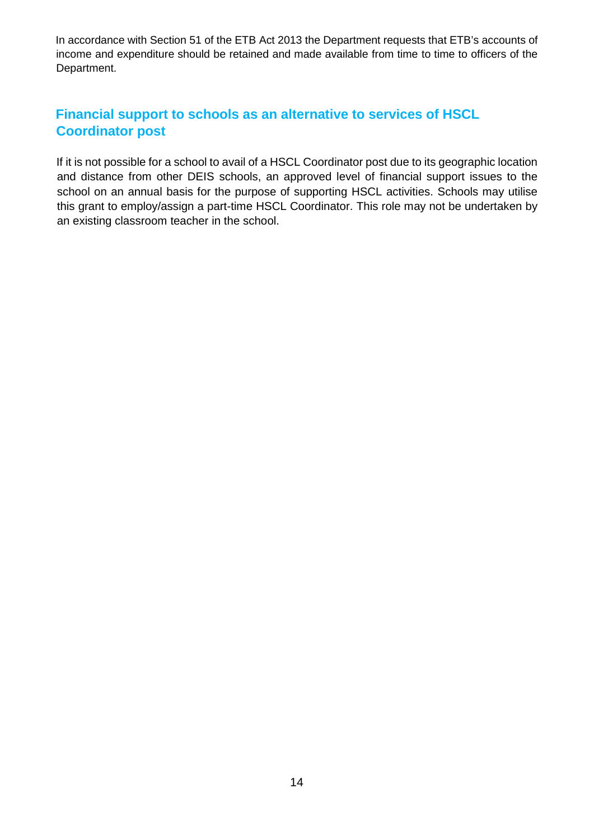In accordance with Section 51 of the ETB Act 2013 the Department requests that ETB's accounts of income and expenditure should be retained and made available from time to time to officers of the Department.

# **Financial support to schools as an alternative to services of HSCL Coordinator post**

If it is not possible for a school to avail of a HSCL Coordinator post due to its geographic location and distance from other DEIS schools, an approved level of financial support issues to the school on an annual basis for the purpose of supporting HSCL activities. Schools may utilise this grant to employ/assign a part-time HSCL Coordinator. This role may not be undertaken by an existing classroom teacher in the school.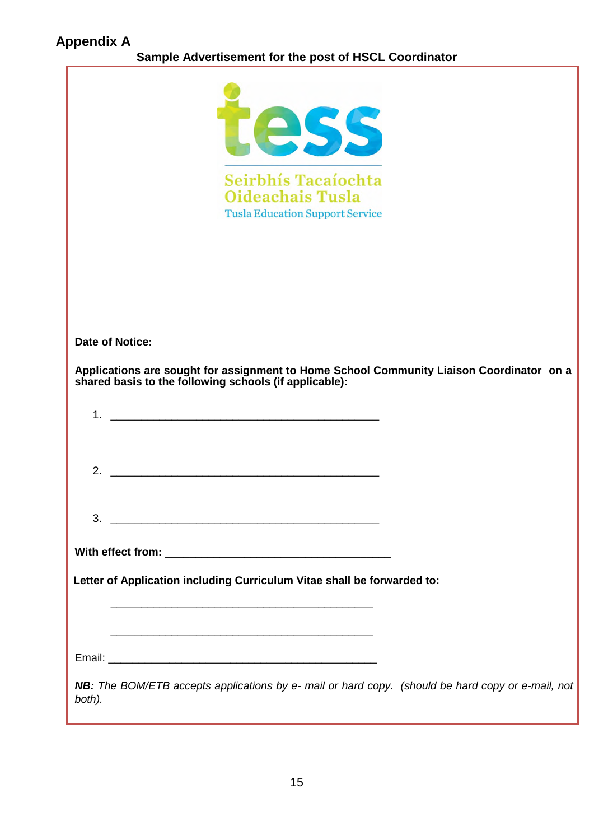| 255<br>Seirbhís Tacaíochta<br><b>Oideachais Tusla</b><br><b>Tusla Education Support Service</b>                                                 |
|-------------------------------------------------------------------------------------------------------------------------------------------------|
| Date of Notice:                                                                                                                                 |
| Applications are sought for assignment to Home School Community Liaison Coordinator on a shared basis to the following schools (if applicable): |
|                                                                                                                                                 |
| 1 <sub>1</sub>                                                                                                                                  |
|                                                                                                                                                 |
| 2.<br><u> 1989 - Johann Barn, mars ar yn y brening yn y brening y brening yn y brening yn y brening y brening yn y bre</u>                      |
|                                                                                                                                                 |
| 3.<br><u> 1988 - Jan James James, president eta idazlear (h. 1988).</u>                                                                         |
|                                                                                                                                                 |
| Letter of Application including Curriculum Vitae shall be forwarded to:                                                                         |
|                                                                                                                                                 |
|                                                                                                                                                 |
|                                                                                                                                                 |
| NB: The BOM/ETB accepts applications by e- mail or hard copy. (should be hard copy or e-mail, not<br>both).                                     |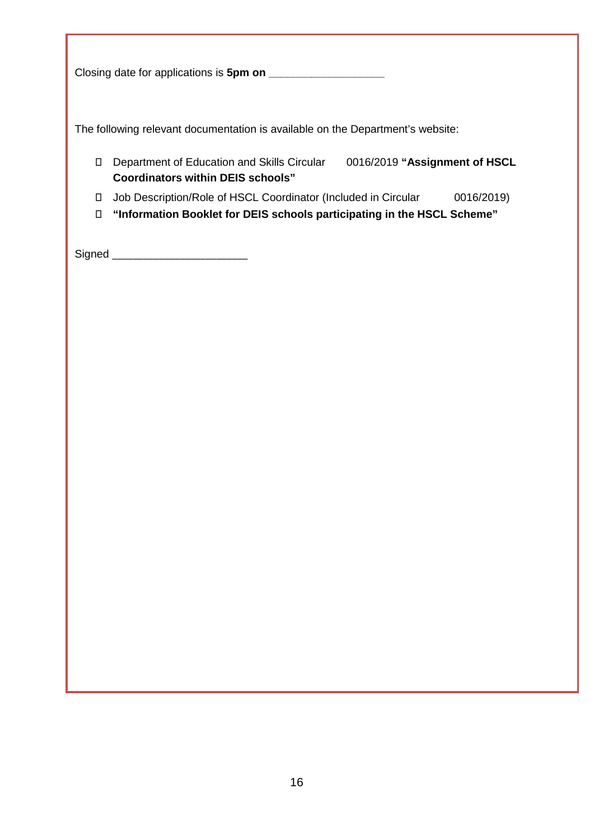Closing date for applications is **5pm on \_\_\_\_\_\_\_\_\_\_\_\_\_\_\_\_\_\_\_** 

The following relevant documentation is available on the Department's website:

- Department of Education and Skills Circular 0016/2019 **"Assignment of HSCL Coordinators within DEIS schools"**
- Job Description/Role of HSCL Coordinator (Included in Circular 0016/2019)
- **"Information Booklet for DEIS schools participating in the HSCL Scheme"**

Signed \_\_\_\_\_\_\_\_\_\_\_\_\_\_\_\_\_\_\_\_\_\_\_\_\_\_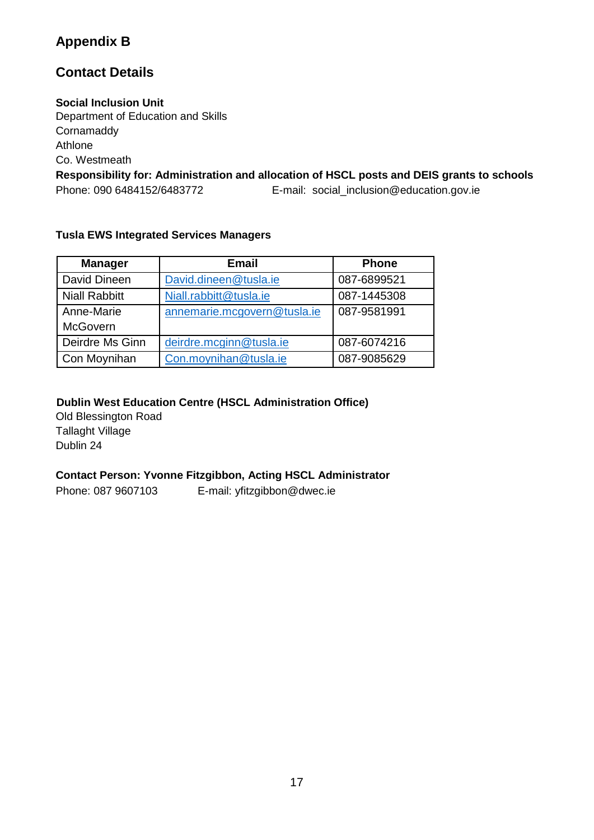# **Appendix B**

# **Contact Details**

#### **Social Inclusion Unit**

Department of Education and Skills **Cornamaddy** Athlone Co. Westmeath **Responsibility for: Administration and allocation of HSCL posts and DEIS grants to schools**  Phone: 090 6484152/6483772 E-mail: social\_inclusion@education.gov.ie

#### **Tusla EWS Integrated Services Managers**

| <b>Manager</b>       | <b>Email</b>                | <b>Phone</b> |
|----------------------|-----------------------------|--------------|
| David Dineen         | David.dineen@tusla.ie       | 087-6899521  |
| <b>Niall Rabbitt</b> | Niall.rabbitt@tusla.ie      | 087-1445308  |
| Anne-Marie           | annemarie.mcgovern@tusla.ie | 087-9581991  |
| <b>McGovern</b>      |                             |              |
| Deirdre Ms Ginn      | deirdre.mcginn@tusla.ie     | 087-6074216  |
| Con Moynihan         | Con.moynihan@tusla.ie       | 087-9085629  |

### **Dublin West Education Centre (HSCL Administration Office)**

Old Blessington Road Tallaght Village Dublin 24

### **Contact Person: Yvonne Fitzgibbon, Acting HSCL Administrator**

Phone: 087 9607103 E-mail: yfitzgibbon@dwec.ie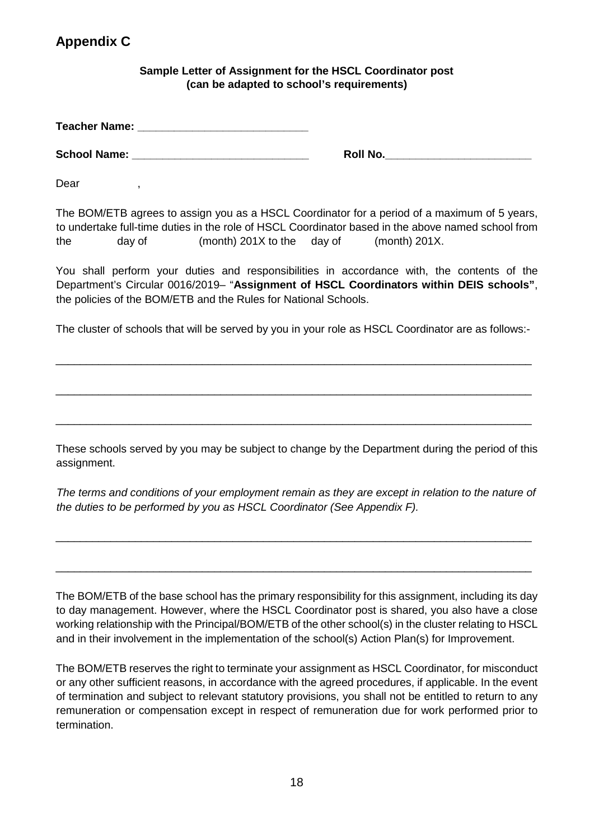# **Appendix C**

#### **Sample Letter of Assignment for the HSCL Coordinator post (can be adapted to school's requirements)**

**Teacher Name: Constant Constant Constant Constant Constant Constant Constant Constant Constant Constant Constant Constant Constant Constant Constant Constant Constant Constant Constant Constant Constant Constant Constan** 

**School Name:**  $\bullet$  **School Name:**  $\bullet$  **Roll No.** 

Dear,

The BOM/ETB agrees to assign you as a HSCL Coordinator for a period of a maximum of 5 years, to undertake full-time duties in the role of HSCL Coordinator based in the above named school from the day of (month) 201X to the day of (month) 201X.

You shall perform your duties and responsibilities in accordance with, the contents of the Department's Circular 0016/2019– "**Assignment of HSCL Coordinators within DEIS schools"**, the policies of the BOM/ETB and the Rules for National Schools.

The cluster of schools that will be served by you in your role as HSCL Coordinator are as follows:-

\_\_\_\_\_\_\_\_\_\_\_\_\_\_\_\_\_\_\_\_\_\_\_\_\_\_\_\_\_\_\_\_\_\_\_\_\_\_\_\_\_\_\_\_\_\_\_\_\_\_\_\_\_\_\_\_\_\_\_\_\_\_\_\_\_\_\_\_\_\_\_\_\_\_\_\_\_\_

\_\_\_\_\_\_\_\_\_\_\_\_\_\_\_\_\_\_\_\_\_\_\_\_\_\_\_\_\_\_\_\_\_\_\_\_\_\_\_\_\_\_\_\_\_\_\_\_\_\_\_\_\_\_\_\_\_\_\_\_\_\_\_\_\_\_\_\_\_\_\_\_\_\_\_\_\_\_

\_\_\_\_\_\_\_\_\_\_\_\_\_\_\_\_\_\_\_\_\_\_\_\_\_\_\_\_\_\_\_\_\_\_\_\_\_\_\_\_\_\_\_\_\_\_\_\_\_\_\_\_\_\_\_\_\_\_\_\_\_\_\_\_\_\_\_\_\_\_\_\_\_\_\_\_\_\_

These schools served by you may be subject to change by the Department during the period of this assignment.

*The terms and conditions of your employment remain as they are except in relation to the nature of the duties to be performed by you as HSCL Coordinator (See Appendix F).* 

\_\_\_\_\_\_\_\_\_\_\_\_\_\_\_\_\_\_\_\_\_\_\_\_\_\_\_\_\_\_\_\_\_\_\_\_\_\_\_\_\_\_\_\_\_\_\_\_\_\_\_\_\_\_\_\_\_\_\_\_\_\_\_\_\_\_\_\_\_\_\_\_\_\_\_\_\_\_

\_\_\_\_\_\_\_\_\_\_\_\_\_\_\_\_\_\_\_\_\_\_\_\_\_\_\_\_\_\_\_\_\_\_\_\_\_\_\_\_\_\_\_\_\_\_\_\_\_\_\_\_\_\_\_\_\_\_\_\_\_\_\_\_\_\_\_\_\_\_\_\_\_\_\_\_\_\_

The BOM/ETB of the base school has the primary responsibility for this assignment, including its day to day management. However, where the HSCL Coordinator post is shared, you also have a close working relationship with the Principal/BOM/ETB of the other school(s) in the cluster relating to HSCL and in their involvement in the implementation of the school(s) Action Plan(s) for Improvement.

The BOM/ETB reserves the right to terminate your assignment as HSCL Coordinator, for misconduct or any other sufficient reasons, in accordance with the agreed procedures, if applicable. In the event of termination and subject to relevant statutory provisions, you shall not be entitled to return to any remuneration or compensation except in respect of remuneration due for work performed prior to termination.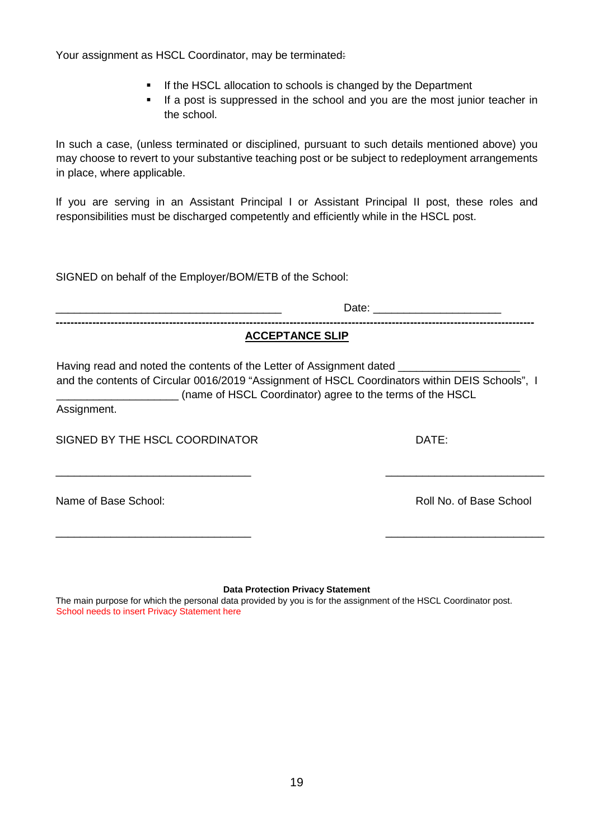Your assignment as HSCL Coordinator, may be terminated:

- **If the HSCL allocation to schools is changed by the Department**
- If a post is suppressed in the school and you are the most junior teacher in the school.

In such a case, (unless terminated or disciplined, pursuant to such details mentioned above) you may choose to revert to your substantive teaching post or be subject to redeployment arrangements in place, where applicable.

If you are serving in an Assistant Principal I or Assistant Principal II post, these roles and responsibilities must be discharged competently and efficiently while in the HSCL post.

SIGNED on behalf of the Employer/BOM/ETB of the School:

| <b>ACCEPTANCE SLIP</b><br>Having read and noted the contents of the Letter of Assignment dated _____<br>and the contents of Circular 0016/2019 "Assignment of HSCL Coordinators within DEIS Schools", I<br>(name of HSCL Coordinator) agree to the terms of the HSCL<br>Assignment. |                         |  |  |                                |       |
|-------------------------------------------------------------------------------------------------------------------------------------------------------------------------------------------------------------------------------------------------------------------------------------|-------------------------|--|--|--------------------------------|-------|
|                                                                                                                                                                                                                                                                                     |                         |  |  | SIGNED BY THE HSCL COORDINATOR | DATE: |
| Name of Base School:                                                                                                                                                                                                                                                                | Roll No. of Base School |  |  |                                |       |
| <b>Data Protection Privacy Statement</b><br>The main purpose for which the personal data provided by you is for the assignment of the HSCL Coordinator post.<br>School needs to insert Privacy Statement here                                                                       |                         |  |  |                                |       |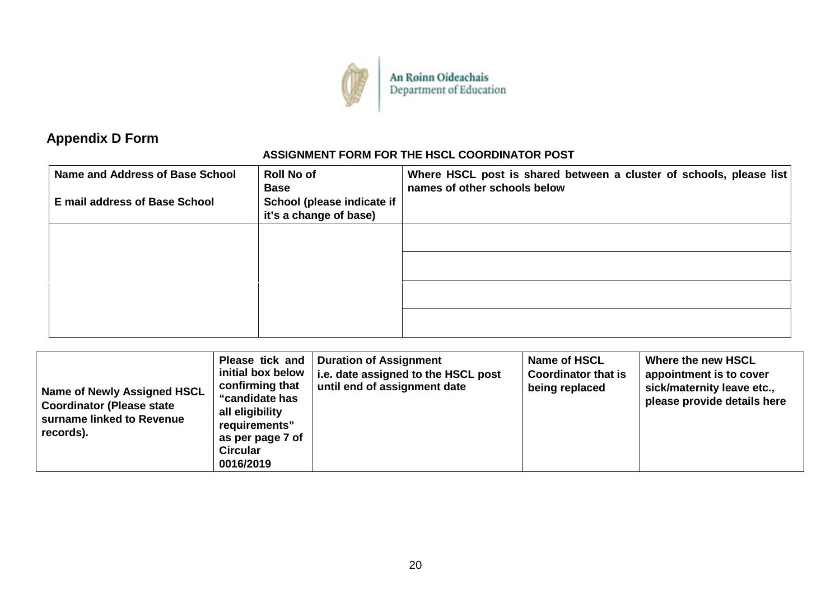

An Roinn Oideachais<br>Department of Education

# **Appendix D Form**

### **ASSIGNMENT FORM FOR THE HSCL COORDINATOR POST**

| Name and Address of Base School      | <b>Roll No of</b><br><b>Base</b>                     | Where HSCL post is shared between a cluster of schools, please list<br>names of other schools below |
|--------------------------------------|------------------------------------------------------|-----------------------------------------------------------------------------------------------------|
| <b>E</b> mail address of Base School | School (please indicate if<br>it's a change of base) |                                                                                                     |
|                                      |                                                      |                                                                                                     |
|                                      |                                                      |                                                                                                     |
|                                      |                                                      |                                                                                                     |
|                                      |                                                      |                                                                                                     |

| <b>Name of Newly Assigned HSCL</b><br><b>Coordinator (Please state</b><br>surname linked to Revenue<br>records). | Please tick and<br>initial box below<br>confirming that<br>"candidate has<br>all eligibility<br>requirements"<br>as per page 7 of<br><b>Circular</b><br>0016/2019 | <b>Duration of Assignment</b><br>i.e. date assigned to the HSCL post<br>until end of assignment date | Name of HSCL<br><b>Coordinator that is</b><br>being replaced | Where the new HSCL<br>appointment is to cover<br>sick/maternity leave etc.,<br>please provide details here |
|------------------------------------------------------------------------------------------------------------------|-------------------------------------------------------------------------------------------------------------------------------------------------------------------|------------------------------------------------------------------------------------------------------|--------------------------------------------------------------|------------------------------------------------------------------------------------------------------------|
|------------------------------------------------------------------------------------------------------------------|-------------------------------------------------------------------------------------------------------------------------------------------------------------------|------------------------------------------------------------------------------------------------------|--------------------------------------------------------------|------------------------------------------------------------------------------------------------------------|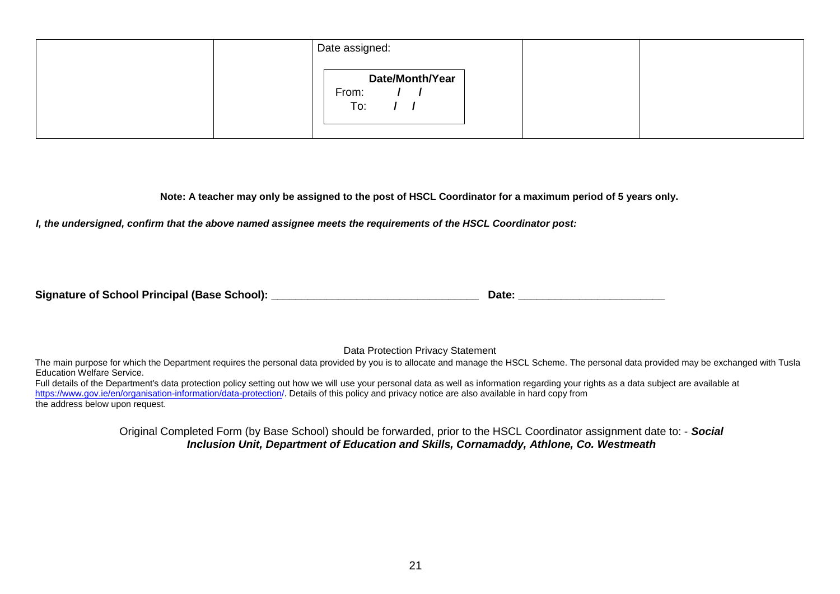| Date assigned:                                |  |
|-----------------------------------------------|--|
| Date/Month/Year<br>From:<br>$\sqrt{1}$<br>To: |  |

**Note: A teacher may only be assigned to the post of HSCL Coordinator for a maximum period of 5 years only.** 

*I, the undersigned, confirm that the above named assignee meets the requirements of the HSCL Coordinator post:*

Data Protection Privacy Statement

The main purpose for which the Department requires the personal data provided by you is to allocate and manage the HSCL Scheme. The personal data provided may be exchanged with Tusla Education Welfare Service.

Full details of the Department's data protection policy setting out how we will use your personal data as well as information regarding your rights as a data subject are available at https://www.gov.ie/en/organisation-information/data-protection/. Details of this policy and privacy notice are also available in hard copy from the address below upon request.

> Original Completed Form (by Base School) should be forwarded, prior to the HSCL Coordinator assignment date to: - *Social Inclusion Unit, Department of Education and Skills, Cornamaddy, Athlone, Co. Westmeath*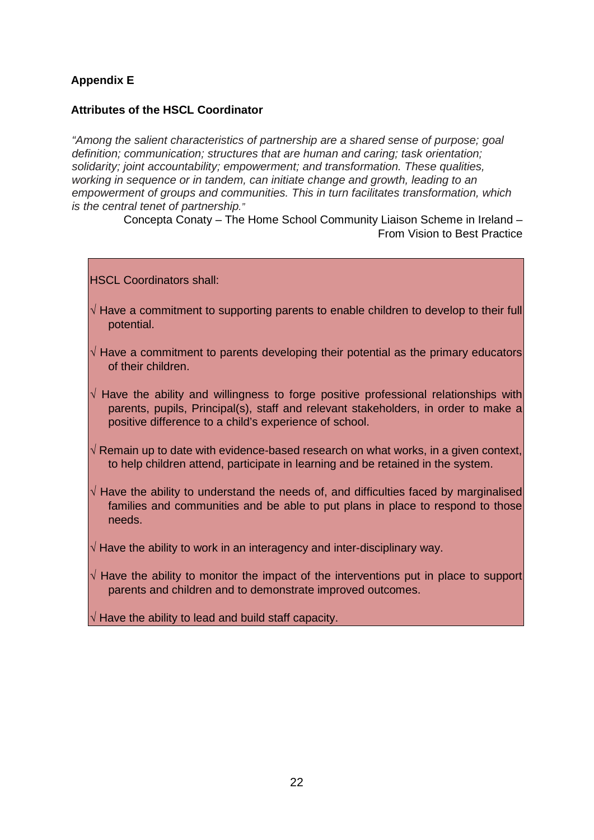### **Appendix E**

#### **Attributes of the HSCL Coordinator**

*"Among the salient characteristics of partnership are a shared sense of purpose; goal definition; communication; structures that are human and caring; task orientation; solidarity; joint accountability; empowerment; and transformation. These qualities, working in sequence or in tandem, can initiate change and growth, leading to an empowerment of groups and communities. This in turn facilitates transformation, which is the central tenet of partnership."* 

> Concepta Conaty – The Home School Community Liaison Scheme in Ireland – From Vision to Best Practice

HSCL Coordinators shall:

- **√** Have a commitment to supporting parents to enable children to develop to their full potential.
- **√** Have a commitment to parents developing their potential as the primary educators of their children.
- **√** Have the ability and willingness to forge positive professional relationships with parents, pupils, Principal(s), staff and relevant stakeholders, in order to make a positive difference to a child's experience of school.
- **√** Remain up to date with evidence-based research on what works, in a given context, to help children attend, participate in learning and be retained in the system.
- **√** Have the ability to understand the needs of, and difficulties faced by marginalised families and communities and be able to put plans in place to respond to those needs.
- **√** Have the ability to work in an interagency and inter-disciplinary way.
- **√** Have the ability to monitor the impact of the interventions put in place to support parents and children and to demonstrate improved outcomes.

**√** Have the ability to lead and build staff capacity.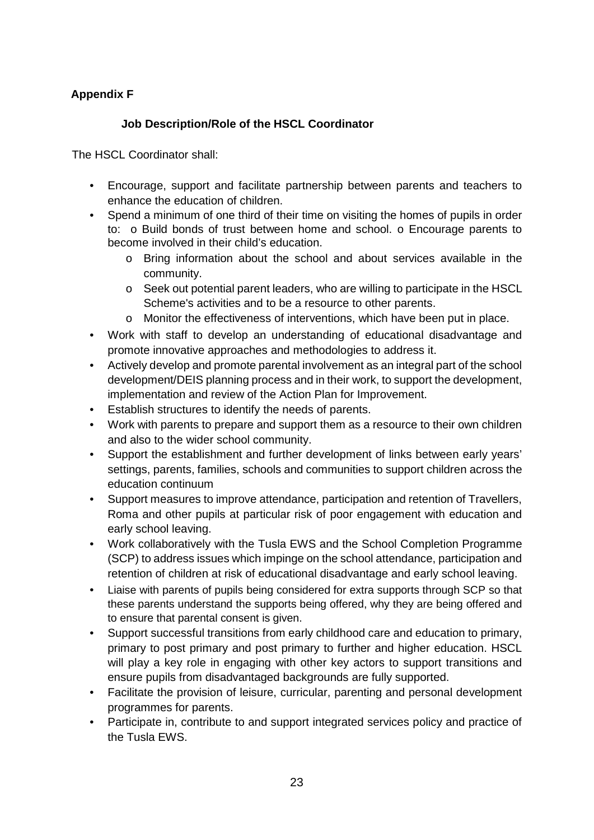### **Appendix F**

### **Job Description/Role of the HSCL Coordinator**

The HSCL Coordinator shall:

- Encourage, support and facilitate partnership between parents and teachers to enhance the education of children.
- Spend a minimum of one third of their time on visiting the homes of pupils in order to: o Build bonds of trust between home and school. o Encourage parents to become involved in their child's education.
	- o Bring information about the school and about services available in the community.
	- o Seek out potential parent leaders, who are willing to participate in the HSCL Scheme's activities and to be a resource to other parents.
	- o Monitor the effectiveness of interventions, which have been put in place.
- Work with staff to develop an understanding of educational disadvantage and promote innovative approaches and methodologies to address it.
- Actively develop and promote parental involvement as an integral part of the school development/DEIS planning process and in their work, to support the development, implementation and review of the Action Plan for Improvement.
- Establish structures to identify the needs of parents.
- Work with parents to prepare and support them as a resource to their own children and also to the wider school community.
- Support the establishment and further development of links between early years' settings, parents, families, schools and communities to support children across the education continuum
- Support measures to improve attendance, participation and retention of Travellers, Roma and other pupils at particular risk of poor engagement with education and early school leaving.
- Work collaboratively with the Tusla EWS and the School Completion Programme (SCP) to address issues which impinge on the school attendance, participation and retention of children at risk of educational disadvantage and early school leaving.
- Liaise with parents of pupils being considered for extra supports through SCP so that these parents understand the supports being offered, why they are being offered and to ensure that parental consent is given.
- Support successful transitions from early childhood care and education to primary, primary to post primary and post primary to further and higher education. HSCL will play a key role in engaging with other key actors to support transitions and ensure pupils from disadvantaged backgrounds are fully supported.
- Facilitate the provision of leisure, curricular, parenting and personal development programmes for parents.
- Participate in, contribute to and support integrated services policy and practice of the Tusla EWS.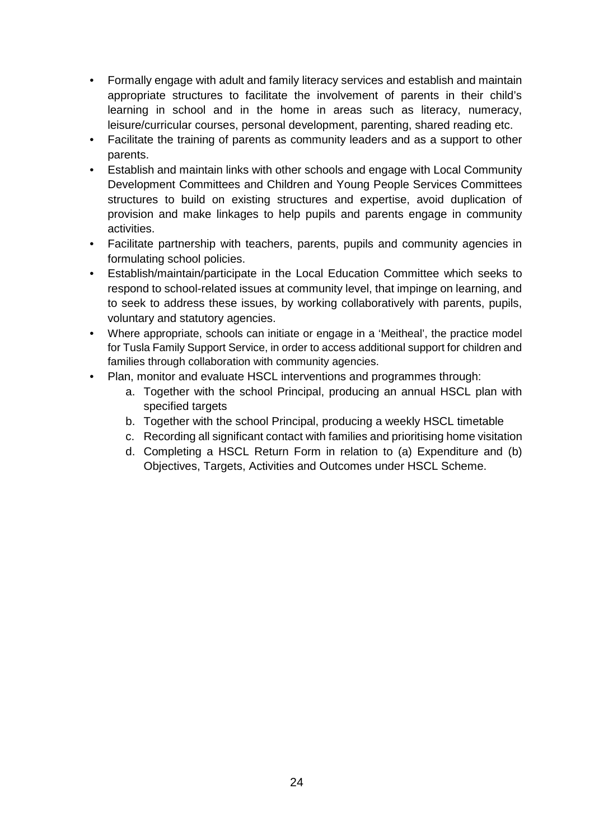- Formally engage with adult and family literacy services and establish and maintain appropriate structures to facilitate the involvement of parents in their child's learning in school and in the home in areas such as literacy, numeracy, leisure/curricular courses, personal development, parenting, shared reading etc.
- Facilitate the training of parents as community leaders and as a support to other parents.
- Establish and maintain links with other schools and engage with Local Community Development Committees and Children and Young People Services Committees structures to build on existing structures and expertise, avoid duplication of provision and make linkages to help pupils and parents engage in community activities.
- Facilitate partnership with teachers, parents, pupils and community agencies in formulating school policies.
- Establish/maintain/participate in the Local Education Committee which seeks to respond to school-related issues at community level, that impinge on learning, and to seek to address these issues, by working collaboratively with parents, pupils, voluntary and statutory agencies.
- Where appropriate, schools can initiate or engage in a 'Meitheal', the practice model for Tusla Family Support Service, in order to access additional support for children and families through collaboration with community agencies.
- Plan, monitor and evaluate HSCL interventions and programmes through:
	- a. Together with the school Principal, producing an annual HSCL plan with specified targets
	- b. Together with the school Principal, producing a weekly HSCL timetable
	- c. Recording all significant contact with families and prioritising home visitation
	- d. Completing a HSCL Return Form in relation to (a) Expenditure and (b) Objectives, Targets, Activities and Outcomes under HSCL Scheme.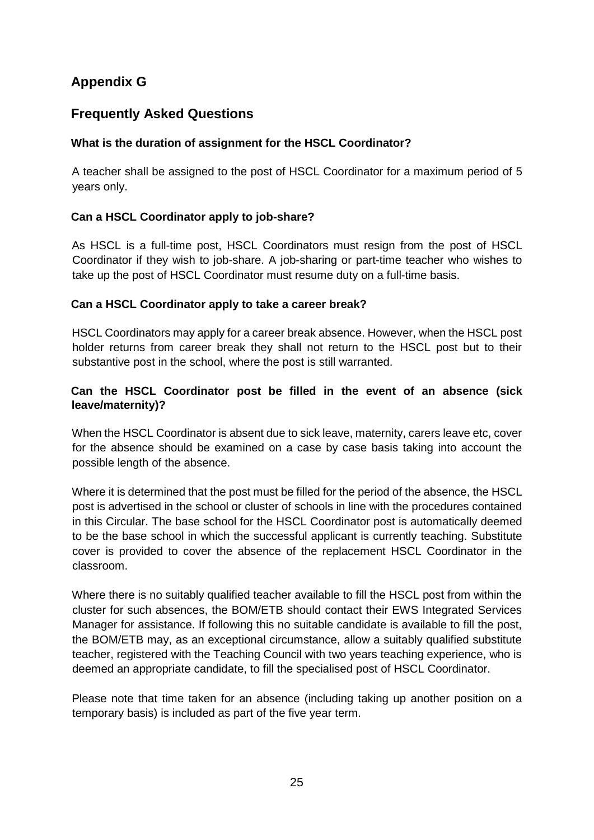# **Appendix G**

# **Frequently Asked Questions**

### **What is the duration of assignment for the HSCL Coordinator?**

A teacher shall be assigned to the post of HSCL Coordinator for a maximum period of 5 years only.

### **Can a HSCL Coordinator apply to job-share?**

As HSCL is a full-time post, HSCL Coordinators must resign from the post of HSCL Coordinator if they wish to job-share. A job-sharing or part-time teacher who wishes to take up the post of HSCL Coordinator must resume duty on a full-time basis.

#### **Can a HSCL Coordinator apply to take a career break?**

HSCL Coordinators may apply for a career break absence. However, when the HSCL post holder returns from career break they shall not return to the HSCL post but to their substantive post in the school, where the post is still warranted.

### **Can the HSCL Coordinator post be filled in the event of an absence (sick leave/maternity)?**

When the HSCL Coordinator is absent due to sick leave, maternity, carers leave etc, cover for the absence should be examined on a case by case basis taking into account the possible length of the absence.

Where it is determined that the post must be filled for the period of the absence, the HSCL post is advertised in the school or cluster of schools in line with the procedures contained in this Circular. The base school for the HSCL Coordinator post is automatically deemed to be the base school in which the successful applicant is currently teaching. Substitute cover is provided to cover the absence of the replacement HSCL Coordinator in the classroom.

Where there is no suitably qualified teacher available to fill the HSCL post from within the cluster for such absences, the BOM/ETB should contact their EWS Integrated Services Manager for assistance. If following this no suitable candidate is available to fill the post, the BOM/ETB may, as an exceptional circumstance, allow a suitably qualified substitute teacher, registered with the Teaching Council with two years teaching experience, who is deemed an appropriate candidate, to fill the specialised post of HSCL Coordinator.

Please note that time taken for an absence (including taking up another position on a temporary basis) is included as part of the five year term.